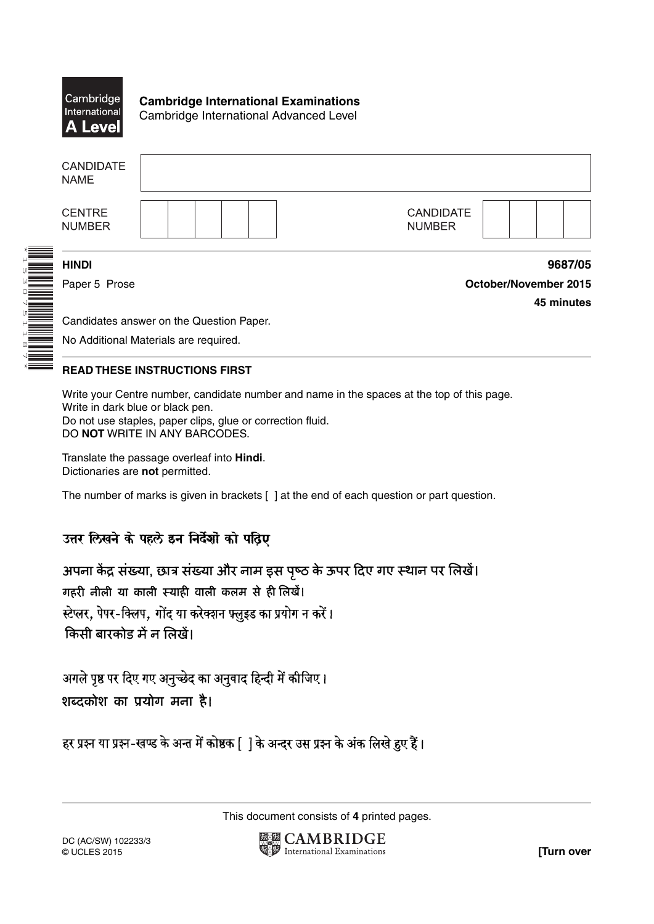

**Cambridge International Examinations** Cambridge International Advanced Level

| <b>CANDIDATE</b><br><b>NAME</b> |                                   |         |
|---------------------------------|-----------------------------------|---------|
| <b>CENTRE</b><br><b>NUMBER</b>  | <b>CANDIDATE</b><br><b>NUMBER</b> |         |
| <b>HINDI</b>                    |                                   | 9687/05 |

\*1530751187\*

Paper 5 Prose **October/November 2015 45 minutes**

Candidates answer on the Question Paper. No Additional Materials are required.

## **READ THESE INSTRUCTIONS FIRST**

Write your Centre number, candidate number and name in the spaces at the top of this page. Write in dark blue or black pen. Do not use staples, paper clips, glue or correction fluid. DO **NOT** WRITE IN ANY BARCODES.

Translate the passage overleaf into **Hindi**. Dictionaries are **not** permitted.

The number of marks is given in brackets [ ] at the end of each question or part question.

## उत्तर लिखने के पहले इन निर्देशों को पठिए

अपना केंद्र संख्या, छात्र संख्या और नाम इस पृष्ठ के ऊपर दिए गए स्थान पर लिखें। गहरी नीली या काली स्याही वाली कलम से ही लिखें। स्टेप्लर, पेपर-क्लिप, गोंद या करेक्शन फ्लूइड का प्रयोग न करें। किसी बारकोड़ में न लिखें।

अगले पृष्ठ पर दिए गए अनुच्छेद का अनुवाद हिन्दी में कीजिए। शब्दकोश का प्रयोग मना है।

हर प्रश्न या प्रश्न-खण्ड के अन्त में कोष्ठक [ ] के अन्दर उस प्रश्न के अंक लिखे हुए हैं।

This document consists of **4** printed pages.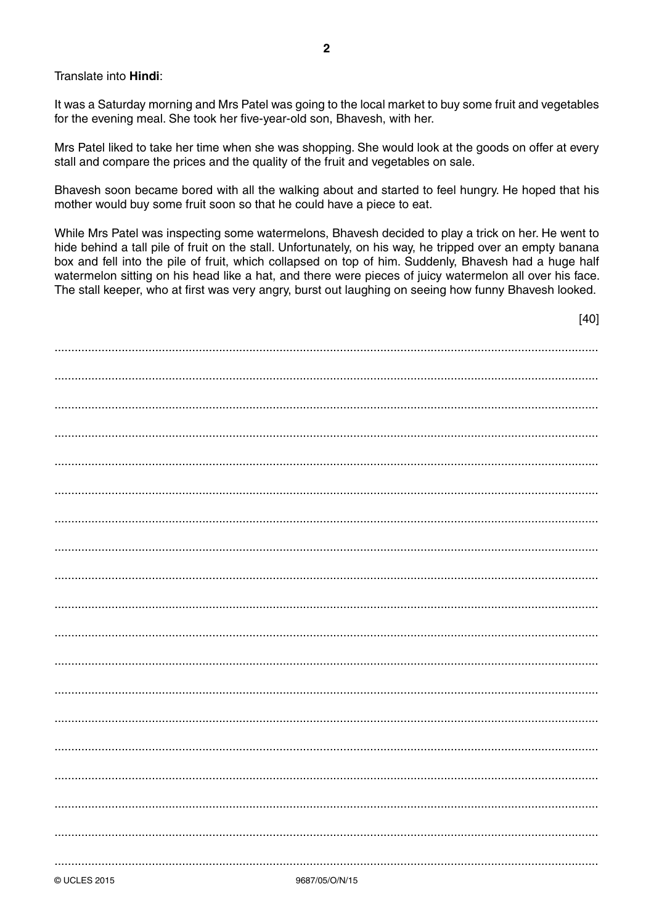Translate into Hindi:

It was a Saturday morning and Mrs Patel was going to the local market to buy some fruit and vegetables for the evening meal. She took her five-year-old son, Bhavesh, with her.

Mrs Patel liked to take her time when she was shopping. She would look at the goods on offer at every stall and compare the prices and the quality of the fruit and vegetables on sale.

Bhavesh soon became bored with all the walking about and started to feel hungry. He hoped that his mother would buy some fruit soon so that he could have a piece to eat.

While Mrs Patel was inspecting some watermelons, Bhavesh decided to play a trick on her. He went to hide behind a tall pile of fruit on the stall. Unfortunately, on his way, he tripped over an empty banana box and fell into the pile of fruit, which collapsed on top of him. Suddenly, Bhavesh had a huge half watermelon sitting on his head like a hat, and there were pieces of juicy watermelon all over his face. The stall keeper, who at first was very angry, burst out laughing on seeing how funny Bhavesh looked.

 $[40]$ 

| 0.007/0E/M1/1E |  |
|----------------|--|